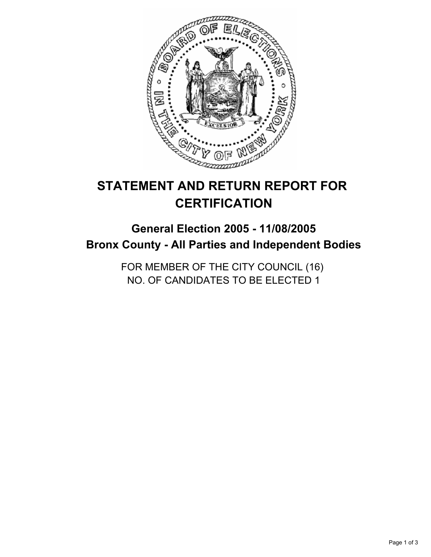

# **STATEMENT AND RETURN REPORT FOR CERTIFICATION**

# **General Election 2005 - 11/08/2005 Bronx County - All Parties and Independent Bodies**

FOR MEMBER OF THE CITY COUNCIL (16) NO. OF CANDIDATES TO BE ELECTED 1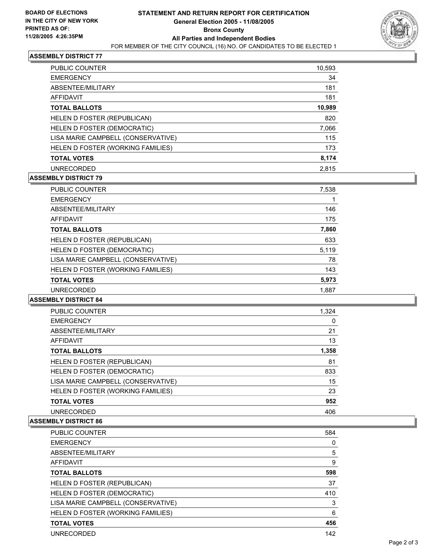

# **ASSEMBLY DISTRICT 77**

| <b>PUBLIC COUNTER</b>              | 10,593 |
|------------------------------------|--------|
| <b>EMERGENCY</b>                   | 34     |
| ABSENTEE/MILITARY                  | 181    |
| AFFIDAVIT                          | 181    |
| <b>TOTAL BALLOTS</b>               | 10,989 |
| HELEN D FOSTER (REPUBLICAN)        | 820    |
| HELEN D FOSTER (DEMOCRATIC)        | 7,066  |
| LISA MARIE CAMPBELL (CONSERVATIVE) | 115    |
| HELEN D FOSTER (WORKING FAMILIES)  | 173    |
| <b>TOTAL VOTES</b>                 | 8,174  |
| <b>UNRECORDED</b>                  | 2,815  |

# **ASSEMBLY DISTRICT 79**

| <b>PUBLIC COUNTER</b>              | 7,538 |
|------------------------------------|-------|
| <b>EMERGENCY</b>                   |       |
| ABSENTEE/MILITARY                  | 146   |
| <b>AFFIDAVIT</b>                   | 175   |
| <b>TOTAL BALLOTS</b>               | 7,860 |
| HELEN D FOSTER (REPUBLICAN)        | 633   |
| HELEN D FOSTER (DEMOCRATIC)        | 5,119 |
| LISA MARIE CAMPBELL (CONSERVATIVE) | 78    |
| HELEN D FOSTER (WORKING FAMILIES)  | 143   |
| <b>TOTAL VOTES</b>                 | 5,973 |
| <b>UNRECORDED</b>                  | 1.887 |

#### **ASSEMBLY DISTRICT 84**

| <b>PUBLIC COUNTER</b>              | 1,324 |  |
|------------------------------------|-------|--|
| <b>EMERGENCY</b>                   |       |  |
| ABSENTEE/MILITARY                  | 21    |  |
| AFFIDAVIT                          | 13    |  |
| <b>TOTAL BALLOTS</b>               | 1,358 |  |
| HELEN D FOSTER (REPUBLICAN)        | 81    |  |
| HELEN D FOSTER (DEMOCRATIC)        | 833   |  |
| LISA MARIE CAMPBELL (CONSERVATIVE) | 15    |  |
| HELEN D FOSTER (WORKING FAMILIES)  | 23    |  |
| <b>TOTAL VOTES</b>                 | 952   |  |
| <b>UNRECORDED</b>                  | 406   |  |

#### **ASSEMBLY DISTRICT 86**

| <b>PUBLIC COUNTER</b>              | 584 |
|------------------------------------|-----|
| <b>EMERGENCY</b>                   |     |
| ABSENTEE/MILITARY                  | 5   |
| <b>AFFIDAVIT</b>                   | 9   |
| <b>TOTAL BALLOTS</b>               | 598 |
| HELEN D FOSTER (REPUBLICAN)        | 37  |
| HELEN D FOSTER (DEMOCRATIC)        | 410 |
| LISA MARIE CAMPBELL (CONSERVATIVE) | 3   |
| HELEN D FOSTER (WORKING FAMILIES)  | 6   |
| <b>TOTAL VOTES</b>                 | 456 |
| <b>UNRECORDED</b>                  | 142 |